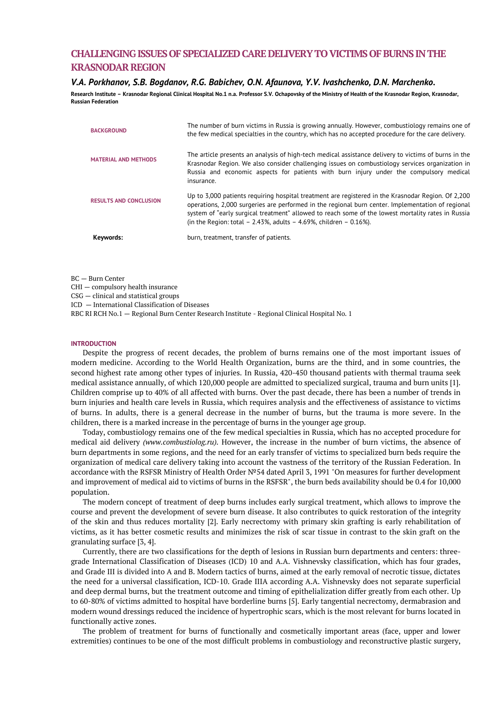# **CHALLENGING ISSUES OF SPECIALIZED CARE DELIVERY TO VICTIMS OF BURNS IN THE KRASNODAR REGION**

# *V.A. Porkhanov, S.B. Bogdanov, R.G. Babichev, O.N. Afaunova, Y.V. Ivashchenko, D.N. Marchenko.*

**Research Institute – Krasnodar Regional Clinical Hospital No.1 n.a. Professor S.V. Ochapovsky of the Ministry of Health of the Krasnodar Region, Krasnodar, Russian Federation**

| Keywords:                     | burn, treatment, transfer of patients.                                                                                                                                                                                                                                                                                                                                                      |
|-------------------------------|---------------------------------------------------------------------------------------------------------------------------------------------------------------------------------------------------------------------------------------------------------------------------------------------------------------------------------------------------------------------------------------------|
| <b>RESULTS AND CONCLUSION</b> | Up to 3,000 patients requiring hospital treatment are registered in the Krasnodar Region. Of 2,200<br>operations, 2,000 surgeries are performed in the regional burn center. Implementation of regional<br>system of "early surgical treatment" allowed to reach some of the lowest mortality rates in Russia<br>(in the Region: total $-2.43\%$ , adults $-4.69\%$ , children $-0.16\%$ ). |
| <b>MATERIAL AND METHODS</b>   | The article presents an analysis of high-tech medical assistance delivery to victims of burns in the<br>Krasnodar Region. We also consider challenging issues on combustiology services organization in<br>Russia and economic aspects for patients with burn injury under the compulsory medical<br>insurance.                                                                             |
| <b>BACKGROUND</b>             | The number of burn victims in Russia is growing annually. However, combustiology remains one of<br>the few medical specialties in the country, which has no accepted procedure for the care delivery.                                                                                                                                                                                       |

BC — Burn Center

CHI — compulsory health insurance

CSG — clinical and statistical groups

ICD — International Classification of Diseases

RBC RI RCH No.1 — Regional Burn Center Research Institute - Regional Clinical Hospital No. 1

## **INTRODUCTION**

Despite the progress of recent decades, the problem of burns remains one of the most important issues of modern medicine. According to the World Health Organization, burns are the third, and in some countries, the second highest rate among other types of injuries. In Russia, 420-450 thousand patients with thermal trauma seek medical assistance annually, of which 120,000 people are admitted to specialized surgical, trauma and burn units [1]. Children comprise up to 40% of all affected with burns. Over the past decade, there has been a number of trends in burn injuries and health care levels in Russia, which requires analysis and the effectiveness of assistance to victims of burns. In adults, there is a general decrease in the number of burns, but the trauma is more severe. In the children, there is a marked increase in the percentage of burns in the younger age group.

Today, combustiology remains one of the few medical specialties in Russia, which has no accepted procedure for medical aid delivery *(www.combustiolog.ru).* However, the increase in the number of burn victims, the absence of burn departments in some regions, and the need for an early transfer of victims to specialized burn beds require the organization of medical care delivery taking into account the vastness of the territory of the Russian Federation. In accordance with the RSFSR Ministry of Health Order №54 dated April 3, 1991 "On measures for further development and improvement of medical aid to victims of burns in the RSFSR", the burn beds availability should be 0.4 for 10,000 population.

The modern concept of treatment of deep burns includes early surgical treatment, which allows to improve the course and prevent the development of severe burn disease. It also contributes to quick restoration of the integrity of the skin and thus reduces mortality [2]. Early necrectomy with primary skin grafting is early rehabilitation of victims, as it has better cosmetic results and minimizes the risk of scar tissue in contrast to the skin graft on the granulating surface [3, 4].

Currently, there are two classifications for the depth of lesions in Russian burn departments and centers: threegrade International Classification of Diseases (ICD) 10 and A.A. Vishnevsky classification, which has four grades, and Grade III is divided into A and B. Modern tactics of burns, aimed at the early removal of necrotic tissue, dictates the need for a universal classification, ICD-10. Grade IIIA according A.A. Vishnevsky does not separate superficial and deep dermal burns, but the treatment outcome and timing of epithelialization differ greatly from each other. Up to 60-80% of victims admitted to hospital have borderline burns [5]. Early tangential necrectomy, dermabrasion and modern wound dressings reduced the incidence of hypertrophic scars, which is the most relevant for burns located in functionally active zones.

The problem of treatment for burns of functionally and cosmetically important areas (face, upper and lower extremities) continues to be one of the most difficult problems in combustiology and reconstructive plastic surgery,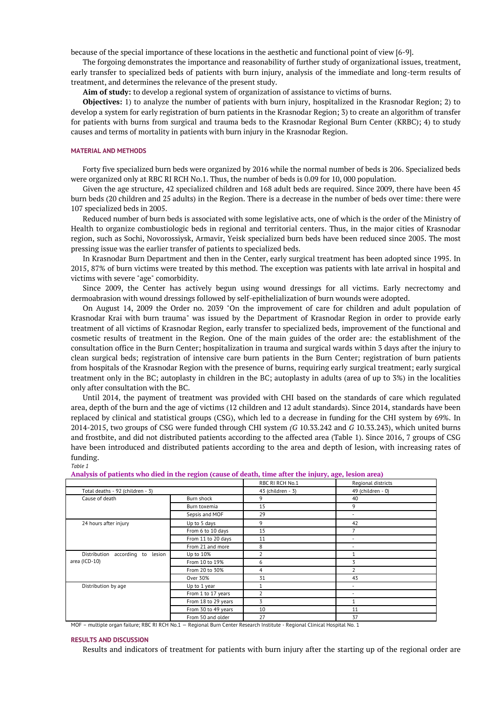because of the special importance of these locations in the aesthetic and functional point of view [6-9].

The forgoing demonstrates the importance and reasonability of further study of organizational issues, treatment, early transfer to specialized beds of patients with burn injury, analysis of the immediate and long-term results of treatment, and determines the relevance of the present study.

**Aim of study:** to develop a regional system of organization of assistance to victims of burns.

**Objectives:** 1) to analyze the number of patients with burn injury, hospitalized in the Krasnodar Region; 2) to develop a system for early registration of burn patients in the Krasnodar Region; 3) to create an algorithm of transfer for patients with burns from surgical and trauma beds to the Krasnodar Regional Burn Center (KRBC); 4) to study causes and terms of mortality in patients with burn injury in the Krasnodar Region.

#### **MATERIAL AND METHODS**

Forty five specialized burn beds were organized by 2016 while the normal number of beds is 206. Specialized beds were organized only at RBC RI RCH No.1. Thus, the number of beds is 0.09 for 10, 000 population.

Given the age structure, 42 specialized children and 168 adult beds are required. Since 2009, there have been 45 burn beds (20 children and 25 adults) in the Region. There is a decrease in the number of beds over time: there were 107 specialized beds in 2005.

Reduced number of burn beds is associated with some legislative acts, one of which is the order of the Ministry of Health to organize combustiologic beds in regional and territorial centers. Thus, in the major cities of Krasnodar region, such as Sochi, Novorossiysk, Armavir, Yeisk specialized burn beds have been reduced since 2005. The most pressing issue was the earlier transfer of patients to specialized beds.

In Krasnodar Burn Department and then in the Center, early surgical treatment has been adopted since 1995. In 2015, 87% of burn victims were treated by this method. The exception was patients with late arrival in hospital and victims with severe "age" comorbidity.

Since 2009, the Center has actively begun using wound dressings for all victims. Early necrectomy and dermoabrasion with wound dressings followed by self-epithelialization of burn wounds were adopted.

On August 14, 2009 the Order no. 2039 "On the improvement of care for children and adult population of Krasnodar Krai with burn trauma" was issued by the Department of Krasnodar Region in order to provide early treatment of all victims of Krasnodar Region, early transfer to specialized beds, improvement of the functional and cosmetic results of treatment in the Region. One of the main guides of the order are: the establishment of the consultation office in the Burn Center; hospitalization in trauma and surgical wards within 3 days after the injury to clean surgical beds; registration of intensive care burn patients in the Burn Center; registration of burn patients from hospitals of the Krasnodar Region with the presence of burns, requiring early surgical treatment; early surgical treatment only in the BC; autoplasty in children in the BC; autoplasty in adults (area of up to 3%) in the localities only after consultation with the BC.

Until 2014, the payment of treatment was provided with CHI based on the standards of care which regulated area, depth of the burn and the age of victims (12 children and 12 adult standards). Since 2014, standards have been replaced by clinical and statistical groups (CSG), which led to a decrease in funding for the CHI system by 69%. In 2014-2015, two groups of CSG were funded through CHI system *(G* 10.33.242 and *G* 10.33.243), which united burns and frostbite, and did not distributed patients according to the affected area (Table 1). Since 2016, 7 groups of CSG have been introduced and distributed patients according to the area and depth of lesion, with increasing rates of funding. *Table 1*

|                                     |                     | RBC RI RCH No.1          | Regional districts       |
|-------------------------------------|---------------------|--------------------------|--------------------------|
| Total deaths - 92 (children - 3)    |                     | 43 (children - 3)        | 49 (children - 0)        |
| Cause of death                      | Burn shock          | 9                        | 40                       |
|                                     | Burn toxemia        | 15                       | 9                        |
|                                     | Sepsis and MOF      | 29                       | $\overline{\phantom{a}}$ |
| 24 hours after injury               | Up to 5 days        | 9                        | 42                       |
|                                     | From 6 to 10 days   | 15                       |                          |
|                                     | From 11 to 20 days  | 11                       | $\overline{\phantom{a}}$ |
|                                     | From 21 and more    | 8                        | $\overline{\phantom{a}}$ |
| Distribution according to<br>lesion | Up to 10%           | 2                        | 1                        |
| area (ICD-10)                       | From 10 to 19%      | 6                        | 3                        |
|                                     | From 20 to 30%      | 4                        | $\overline{2}$           |
|                                     | Over 30%            | 31                       | 43                       |
| Distribution by age                 | Up to 1 year        |                          | $\overline{\phantom{a}}$ |
|                                     | From 1 to 17 years  | $\overline{\phantom{a}}$ | $\overline{\phantom{a}}$ |
|                                     | From 18 to 29 years | 3                        | $\mathbf{1}$             |
|                                     | From 30 to 49 years | 10                       | 11                       |
|                                     | From 50 and older   | 27                       | 37                       |

**Analysis of patients who died in the region (cause of death, time after the injury, age, lesion area)**

MOF – multiple organ failure; RBC RI RCH No.1 — Regional Burn Center Research Institute - Regional Clinical Hospital No. 1

#### **RESULTS AND DISCUSSION**

Results and indicators of treatment for patients with burn injury after the starting up of the regional order are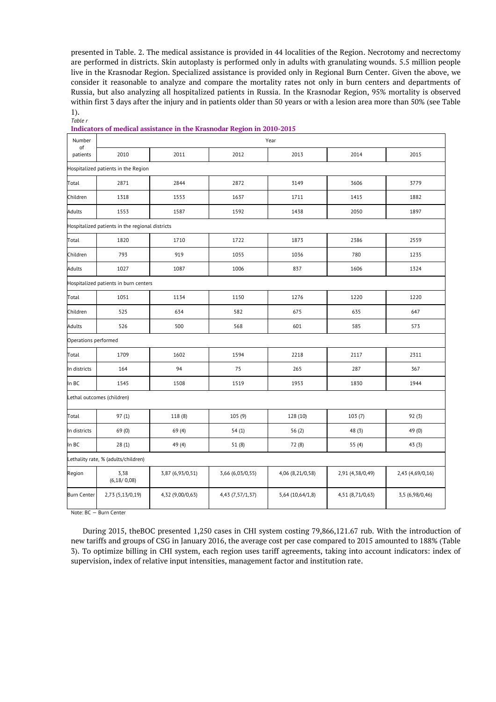presented in Table. 2. The medical assistance is provided in 44 localities of the Region. Necrotomy and necrectomy are performed in districts. Skin autoplasty is performed only in adults with granulating wounds. 5.5 million people live in the Krasnodar Region. Specialized assistance is provided only in Regional Burn Center. Given the above, we consider it reasonable to analyze and compare the mortality rates not only in burn centers and departments of Russia, but also analyzing all hospitalized patients in Russia. In the Krasnodar Region, 95% mortality is observed within first 3 days after the injury and in patients older than 50 years or with a lesion area more than 50% (see Table 1). *Table r*

| Number<br>of                        | Year                                            |                  |                  |                  |                  |                  |  |
|-------------------------------------|-------------------------------------------------|------------------|------------------|------------------|------------------|------------------|--|
| patients                            | 2010                                            | 2011             | 2012             | 2013             | 2014             | 2015             |  |
| Hospitalized patients in the Region |                                                 |                  |                  |                  |                  |                  |  |
| Total                               | 2871                                            | 2844             | 2872             | 3149             | 3606             | 3779             |  |
| Children                            | 1318                                            | 1553             | 1637             | 1711             | 1415             | 1882             |  |
| Adults                              | 1553                                            | 1587             | 1592             | 1438             | 2050             | 1897             |  |
|                                     | Hospitalized patients in the regional districts |                  |                  |                  |                  |                  |  |
| Total                               | 1820                                            | 1710             | 1722             | 1873             | 2386             | 2559             |  |
| Children                            | 793                                             | 919              | 1055             | 1036             | 780              | 1235             |  |
| Adults                              | 1027                                            | 1087             | 1006             | 837              | 1606             | 1324             |  |
|                                     | Hospitalized patients in burn centers           |                  |                  |                  |                  |                  |  |
| Total                               | 1051                                            | 1134             | 1150             | 1276             | 1220             | 1220             |  |
| Children                            | 525                                             | 634              | 582              | 675              | 635              | 647              |  |
| Adults                              | 526                                             | 500              | 568              | 601              | 585              | 573              |  |
| Operations performed                |                                                 |                  |                  |                  |                  |                  |  |
| Total                               | 1709                                            | 1602             | 1594             | 2218             | 2117             | 2311             |  |
| In districts                        | 164                                             | 94               | 75               | 265              | 287              | 367              |  |
| In BC                               | 1545                                            | 1508             | 1519             | 1953             | 1830             | 1944             |  |
|                                     | Lethal outcomes (children)                      |                  |                  |                  |                  |                  |  |
| Total                               | 97(1)                                           | 118 (8)          | 105 (9)          | 128 (10)         | 103(7)           | 92(3)            |  |
| In districts                        | 69 (0)                                          | 69 (4)           | 54(1)            | 56(2)            | 48 (3)           | 49 (0)           |  |
| In BC                               | 28(1)                                           | 49 (4)           | 51(8)            | 72 (8)           | 55(4)            | 43(3)            |  |
| Lethality rate, % (adults/children) |                                                 |                  |                  |                  |                  |                  |  |
| Region                              | 3,38<br>(6, 18/0, 08)                           | 3,87 (6,93/0,51) | 3,66 (6,03/0,55) | 4,06 (8,21/0,58) | 2,91 (4,38/0,49) | 2,43 (4,69/0,16) |  |
| <b>Burn Center</b>                  | 2,73 (5,13/0,19)                                | 4,32 (9,00/0,63) | 4,43 (7,57/1,37) | 5,64 (10,64/1,8) | 4,51 (8,71/0,63) | 3,5 (6,98/0,46)  |  |
|                                     |                                                 |                  |                  |                  |                  |                  |  |

|  |  | Indicators of medical assistance in the Krasnodar Region in 2010-2015 |  |
|--|--|-----------------------------------------------------------------------|--|
|  |  |                                                                       |  |

Note: BC — Burn Center

During 2015, theBOC presented 1,250 cases in CHI system costing 79,866,121.67 rub. With the introduction of new tariffs and groups of CSG in January 2016, the average cost per case compared to 2015 amounted to 188% (Table 3). To optimize billing in CHI system, each region uses tariff agreements, taking into account indicators: index of supervision, index of relative input intensities, management factor and institution rate.